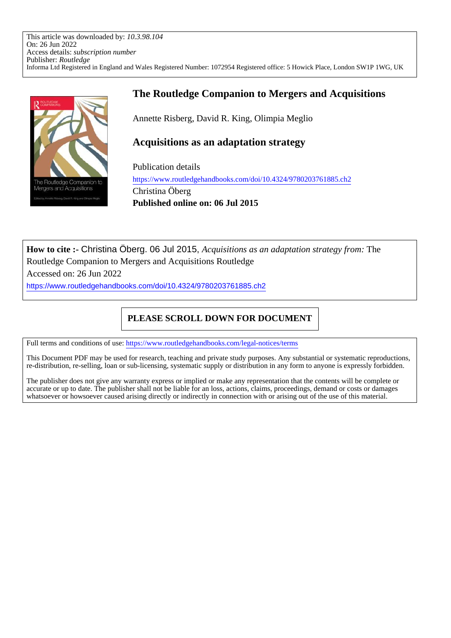This article was downloaded by: *10.3.98.104* On: 26 Jun 2022 Access details: *subscription number* Publisher: *Routledge* Informa Ltd Registered in England and Wales Registered Number: 1072954 Registered office: 5 Howick Place, London SW1P 1WG, UK



# **The Routledge Companion to Mergers and Acquisitions**

Annette Risberg, David R. King, Olimpia Meglio

# **Acquisitions as an adaptation strategy**

Publication details https://www.routledgehandbooks.com/doi/10.4324/9780203761885.ch2 Christina Öberg **Published online on: 06 Jul 2015**

**How to cite :-** Christina Öberg. 06 Jul 2015, *Acquisitions as an adaptation strategy from:* The Routledge Companion to Mergers and Acquisitions Routledge

Accessed on: 26 Jun 2022

https://www.routledgehandbooks.com/doi/10.4324/9780203761885.ch2

# **PLEASE SCROLL DOWN FOR DOCUMENT**

Full terms and conditions of use: https://www.routledgehandbooks.com/legal-notices/terms

This Document PDF may be used for research, teaching and private study purposes. Any substantial or systematic reproductions, re-distribution, re-selling, loan or sub-licensing, systematic supply or distribution in any form to anyone is expressly forbidden.

The publisher does not give any warranty express or implied or make any representation that the contents will be complete or accurate or up to date. The publisher shall not be liable for an loss, actions, claims, proceedings, demand or costs or damages whatsoever or howsoever caused arising directly or indirectly in connection with or arising out of the use of this material.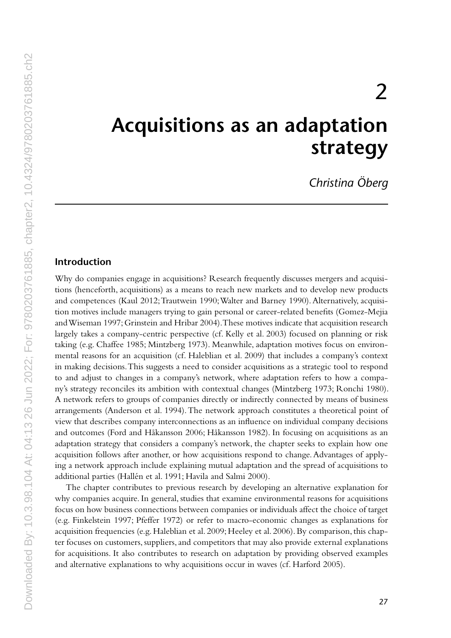# **Acquisitions as an adaptation strategy**

*Christina Öberg*

## **Introduction**

Why do companies engage in acquisitions? Research frequently discusses mergers and acquisitions (henceforth, acquisitions) as a means to reach new markets and to develop new products and competences (Kaul 2012; Trautwein 1990; Walter and Barney 1990). Alternatively, acquisition motives include managers trying to gain personal or career-related benefits (Gomez-Mejia and Wiseman 1997; Grinstein and Hribar 2004). These motives indicate that acquisition research largely takes a company-centric perspective (cf. Kelly et al. 2003) focused on planning or risk taking (e.g. Chaffee 1985; Mintzberg 1973). Meanwhile, adaptation motives focus on environmental reasons for an acquisition (cf. Haleblian et al. 2009) that includes a company's context in making decisions. This suggests a need to consider acquisitions as a strategic tool to respond to and adjust to changes in a company's network, where adaptation refers to how a company's strategy reconciles its ambition with contextual changes (Mintzberg 1973; Ronchi 1980). A network refers to groups of companies directly or indirectly connected by means of business arrangements (Anderson et al. 1994). The network approach constitutes a theoretical point of view that describes company interconnections as an influence on individual company decisions and outcomes (Ford and Håkansson 2006; Håkansson 1982). In focusing on acquisitions as an adaptation strategy that considers a company's network, the chapter seeks to explain how one acquisition follows after another, or how acquisitions respond to change. Advantages of applying a network approach include explaining mutual adaptation and the spread of acquisitions to additional parties (Hallén et al. 1991; Havila and Salmi 2000).

The chapter contributes to previous research by developing an alternative explanation for why companies acquire. In general, studies that examine environmental reasons for acquisitions focus on how business connections between companies or individuals affect the choice of target (e.g. Finkelstein 1997; Pfeffer 1972) or refer to macro-economic changes as explanations for acquisition frequencies (e.g. Haleblian et al. 2009; Heeley et al. 2006). By comparison, this chapter focuses on customers, suppliers, and competitors that may also provide external explanations for acquisitions. It also contributes to research on adaptation by providing observed examples and alternative explanations to why acquisitions occur in waves (cf. Harford 2005).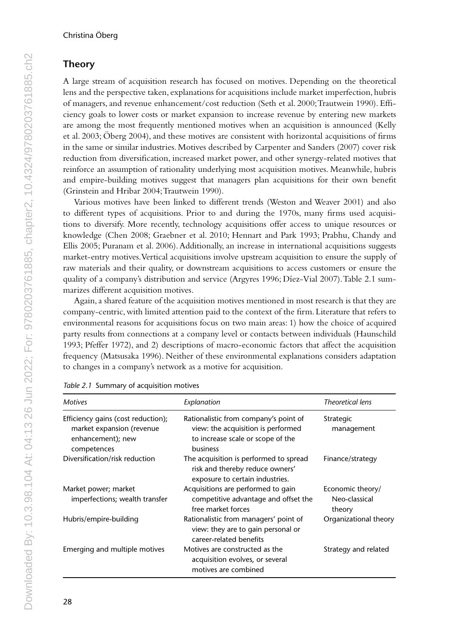# **Theory**

A large stream of acquisition research has focused on motives. Depending on the theoretical lens and the perspective taken, explanations for acquisitions include market imperfection, hubris of managers, and revenue enhancement/cost reduction (Seth et al. 2000; Trautwein 1990). Efficiency goals to lower costs or market expansion to increase revenue by entering new markets are among the most frequently mentioned motives when an acquisition is announced (Kelly et al. 2003; Öberg 2004), and these motives are consistent with horizontal acquisitions of firms in the same or similar industries. Motives described by Carpenter and Sanders (2007) cover risk reduction from diversification, increased market power, and other synergy-related motives that reinforce an assumption of rationality underlying most acquisition motives. Meanwhile, hubris and empire-building motives suggest that managers plan acquisitions for their own benefit (Grinstein and Hribar 2004; Trautwein 1990).

Various motives have been linked to different trends (Weston and Weaver 2001) and also to different types of acquisitions. Prior to and during the 1970s, many firms used acquisitions to diversify. More recently, technology acquisitions offer access to unique resources or knowledge (Chen 2008; Graebner et al. 2010; Hennart and Park 1993; Prabhu, Chandy and Ellis 2005; Puranam et al. 2006). Additionally, an increase in international acquisitions suggests market-entry motives. Vertical acquisitions involve upstream acquisition to ensure the supply of raw materials and their quality, or downstream acquisitions to access customers or ensure the quality of a company's distribution and service (Argyres 1996; Díez-Vial 2007). Table 2.1 summarizes different acquisition motives.

Again, a shared feature of the acquisition motives mentioned in most research is that they are company-centric, with limited attention paid to the context of the firm. Literature that refers to environmental reasons for acquisitions focus on two main areas: 1) how the choice of acquired party results from connections at a company level or contacts between individuals (Haunschild 1993; Pfeffer 1972), and 2) descriptions of macro-economic factors that affect the acquisition frequency (Matsusaka 1996). Neither of these environmental explanations considers adaptation to changes in a company's network as a motive for acquisition.

| <b>Motives</b>                                                                                      | Explanation                                                                                                                  | Theoretical lens                            |
|-----------------------------------------------------------------------------------------------------|------------------------------------------------------------------------------------------------------------------------------|---------------------------------------------|
| Efficiency gains (cost reduction);<br>market expansion (revenue<br>enhancement); new<br>competences | Rationalistic from company's point of<br>view: the acquisition is performed<br>to increase scale or scope of the<br>business | Strategic<br>management                     |
| Diversification/risk reduction                                                                      | The acquisition is performed to spread<br>risk and thereby reduce owners'<br>exposure to certain industries.                 | Finance/strategy                            |
| Market power; market<br>imperfections; wealth transfer                                              | Acquisitions are performed to gain<br>competitive advantage and offset the<br>free market forces                             | Economic theory/<br>Neo-classical<br>theory |
| Hubris/empire-building                                                                              | Rationalistic from managers' point of<br>view: they are to gain personal or<br>career-related benefits                       | Organizational theory                       |
| Emerging and multiple motives                                                                       | Motives are constructed as the<br>acquisition evolves, or several<br>motives are combined                                    | Strategy and related                        |

*Table 2.1* Summary of acquisition motives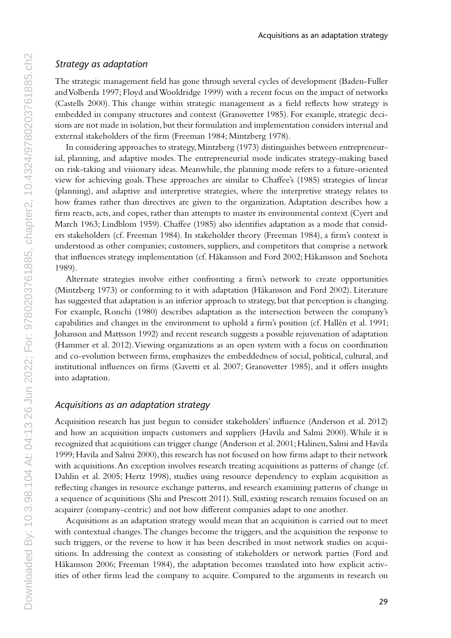## *Strategy as adaptation*

The strategic management field has gone through several cycles of development (Baden-Fuller and Volberda 1997; Floyd and Wooldridge 1999) with a recent focus on the impact of networks (Castells 2000). This change within strategic management as a field reflects how strategy is embedded in company structures and context (Granovetter 1985). For example, strategic decisions are not made in isolation, but their formulation and implementation considers internal and external stakeholders of the firm (Freeman 1984; Mintzberg 1978).

In considering approaches to strategy, Mintzberg (1973) distinguishes between entrepreneurial, planning, and adaptive modes. The entrepreneurial mode indicates strategy-making based on risk-taking and visionary ideas. Meanwhile, the planning mode refers to a future-oriented view for achieving goals. These approaches are similar to Chaffee's (1985) strategies of linear (planning), and adaptive and interpretive strategies, where the interpretive strategy relates to how frames rather than directives are given to the organization. Adaptation describes how a firm reacts, acts, and copes, rather than attempts to master its environmental context (Cyert and March 1963; Lindblom 1959). Chaffee (1985) also identifies adaptation as a mode that considers stakeholders (cf. Freeman 1984). In stakeholder theory (Freeman 1984), a firm's context is understood as other companies; customers, suppliers, and competitors that comprise a network that influences strategy implementation (cf. Håkansson and Ford 2002; Håkansson and Snehota 1989).

Alternate strategies involve either confronting a firm's network to create opportunities (Mintzberg 1973) or conforming to it with adaptation (Håkansson and Ford 2002). Literature has suggested that adaptation is an inferior approach to strategy, but that perception is changing. For example, Ronchi (1980) describes adaptation as the intersection between the company's capabilities and changes in the environment to uphold a firm's position (cf. Hallén et al. 1991; Johanson and Mattsson 1992) and recent research suggests a possible rejuvenation of adaptation (Hammer et al. 2012). Viewing organizations as an open system with a focus on coordination and co-evolution between firms, emphasizes the embeddedness of social, political, cultural, and institutional influences on firms (Gavetti et al. 2007; Granovetter 1985), and it offers insights into adaptation.

# *Acquisitions as an adaptation strategy*

Acquisition research has just begun to consider stakeholders' influence (Anderson et al. 2012) and how an acquisition impacts customers and suppliers (Havila and Salmi 2000). While it is recognized that acquisitions can trigger change (Anderson et al. 2001; Halinen, Salmi and Havila 1999; Havila and Salmi 2000), this research has not focused on how firms adapt to their network with acquisitions. An exception involves research treating acquisitions as patterns of change (cf. Dahlin et al. 2005; Hertz 1998), studies using resource dependency to explain acquisition as reflecting changes in resource exchange patterns, and research examining patterns of change in a sequence of acquisitions (Shi and Prescott 2011). Still, existing research remains focused on an acquirer (company-centric) and not how different companies adapt to one another.

Acquisitions as an adaptation strategy would mean that an acquisition is carried out to meet with contextual changes. The changes become the triggers, and the acquisition the response to such triggers, or the reverse to how it has been described in most network studies on acquisitions. In addressing the context as consisting of stakeholders or network parties (Ford and Håkansson 2006; Freeman 1984), the adaptation becomes translated into how explicit activities of other firms lead the company to acquire. Compared to the arguments in research on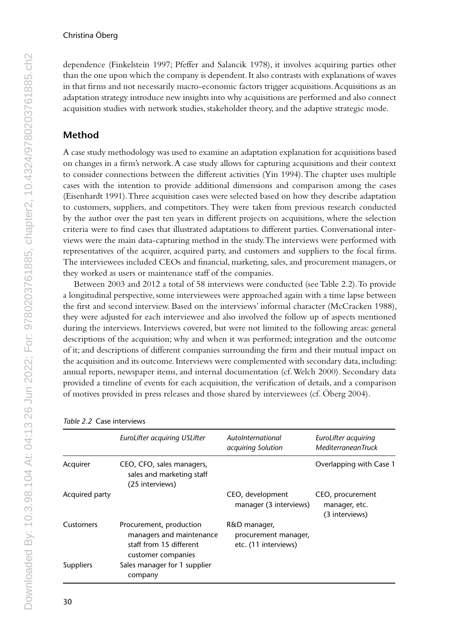dependence (Finkelstein 1997; Pfeffer and Salancik 1978), it involves acquiring parties other than the one upon which the company is dependent. It also contrasts with explanations of waves in that firms and not necessarily macro-economic factors trigger acquisitions. Acquisitions as an adaptation strategy introduce new insights into why acquisitions are performed and also connect acquisition studies with network studies, stakeholder theory, and the adaptive strategic mode.

# **Method**

A case study methodology was used to examine an adaptation explanation for acquisitions based on changes in a firm's network. A case study allows for capturing acquisitions and their context to consider connections between the different activities (Yin 1994). The chapter uses multiple cases with the intention to provide additional dimensions and comparison among the cases (Eisenhardt 1991). Three acquisition cases were selected based on how they describe adaptation to customers, suppliers, and competitors. They were taken from previous research conducted by the author over the past ten years in different projects on acquisitions, where the selection criteria were to find cases that illustrated adaptations to different parties. Conversational interviews were the main data-capturing method in the study. The interviews were performed with representatives of the acquirer, acquired party, and customers and suppliers to the focal firms. The interviewees included CEOs and financial, marketing, sales, and procurement managers, or they worked as users or maintenance staff of the companies.

Between 2003 and 2012 a total of 58 interviews were conducted (see Table 2.2). To provide a longitudinal perspective, some interviewees were approached again with a time lapse between the first and second interview. Based on the interviews' informal character (McCracken 1988), they were adjusted for each interviewee and also involved the follow up of aspects mentioned during the interviews. Interviews covered, but were not limited to the following areas: general descriptions of the acquisition; why and when it was performed; integration and the outcome of it; and descriptions of different companies surrounding the firm and their mutual impact on the acquisition and its outcome. Interviews were complemented with secondary data, including: annual reports, newspaper items, and internal documentation (cf. Welch 2000). Secondary data provided a timeline of events for each acquisition, the verification of details, and a comparison of motives provided in press releases and those shared by interviewees (cf. Öberg 2004).

|                  | EuroLifter acquiring USLifter                                                                        | AutoInternational<br>acquiring Solution                      | EuroLifter acquiring<br><b>MediterraneanTruck</b>   |
|------------------|------------------------------------------------------------------------------------------------------|--------------------------------------------------------------|-----------------------------------------------------|
| Acquirer         | CEO, CFO, sales managers,<br>sales and marketing staff<br>(25 interviews)                            |                                                              | Overlapping with Case 1                             |
| Acquired party   |                                                                                                      | CEO, development<br>manager (3 interviews)                   | CEO, procurement<br>manager, etc.<br>(3 interviews) |
| Customers        | Procurement, production<br>managers and maintenance<br>staff from 15 different<br>customer companies | R&D manager,<br>procurement manager,<br>etc. (11 interviews) |                                                     |
| <b>Suppliers</b> | Sales manager for 1 supplier<br>company                                                              |                                                              |                                                     |

#### *Table 2.2* Case interviews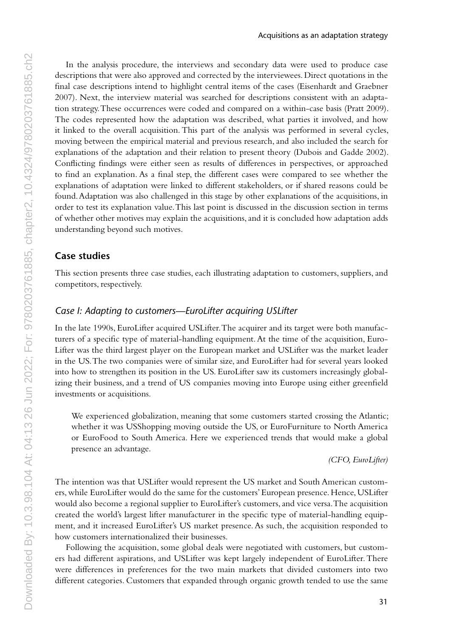In the analysis procedure, the interviews and secondary data were used to produce case descriptions that were also approved and corrected by the interviewees. Direct quotations in the final case descriptions intend to highlight central items of the cases (Eisenhardt and Graebner 2007). Next, the interview material was searched for descriptions consistent with an adaptation strategy. These occurrences were coded and compared on a within-case basis (Pratt 2009). The codes represented how the adaptation was described, what parties it involved, and how it linked to the overall acquisition. This part of the analysis was performed in several cycles, moving between the empirical material and previous research, and also included the search for explanations of the adaptation and their relation to present theory (Dubois and Gadde 2002). Conflicting findings were either seen as results of differences in perspectives, or approached to find an explanation. As a final step, the different cases were compared to see whether the explanations of adaptation were linked to different stakeholders, or if shared reasons could be found. Adaptation was also challenged in this stage by other explanations of the acquisitions, in order to test its explanation value. This last point is discussed in the discussion section in terms of whether other motives may explain the acquisitions, and it is concluded how adaptation adds understanding beyond such motives.

# **Case studies**

This section presents three case studies, each illustrating adaptation to customers, suppliers, and competitors, respectively.

# *Case I: Adapting to customers—EuroLifter acquiring USLifter*

In the late 1990s, EuroLifter acquired USLifter. The acquirer and its target were both manufacturers of a specific type of material-handling equipment. At the time of the acquisition, Euro-Lifter was the third largest player on the European market and USLifter was the market leader in the US. The two companies were of similar size, and EuroLifter had for several years looked into how to strengthen its position in the US. EuroLifter saw its customers increasingly globalizing their business, and a trend of US companies moving into Europe using either greenfield investments or acquisitions.

We experienced globalization, meaning that some customers started crossing the Atlantic; whether it was USShopping moving outside the US, or EuroFurniture to North America or EuroFood to South America. Here we experienced trends that would make a global presence an advantage.

*(CFO, EuroLifter)*

The intention was that USLifter would represent the US market and South American customers, while EuroLifter would do the same for the customers' European presence. Hence, USLifter would also become a regional supplier to EuroLifter's customers, and vice versa. The acquisition created the world's largest lifter manufacturer in the specific type of material-handling equipment, and it increased EuroLifter's US market presence. As such, the acquisition responded to how customers internationalized their businesses.

Following the acquisition, some global deals were negotiated with customers, but customers had different aspirations, and USLifter was kept largely independent of EuroLifter. There were differences in preferences for the two main markets that divided customers into two different categories. Customers that expanded through organic growth tended to use the same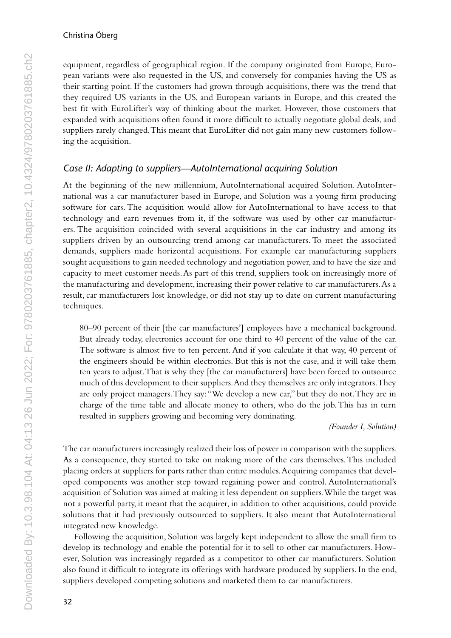equipment, regardless of geographical region. If the company originated from Europe, European variants were also requested in the US, and conversely for companies having the US as their starting point. If the customers had grown through acquisitions, there was the trend that they required US variants in the US, and European variants in Europe, and this created the best fit with EuroLifter's way of thinking about the market. However, those customers that expanded with acquisitions often found it more difficult to actually negotiate global deals, and suppliers rarely changed. This meant that EuroLifter did not gain many new customers following the acquisition.

# *Case II: Adapting to suppliers—AutoInternational acquiring Solution*

At the beginning of the new millennium, AutoInternational acquired Solution. AutoInternational was a car manufacturer based in Europe, and Solution was a young firm producing software for cars. The acquisition would allow for AutoInternational to have access to that technology and earn revenues from it, if the software was used by other car manufacturers. The acquisition coincided with several acquisitions in the car industry and among its suppliers driven by an outsourcing trend among car manufacturers. To meet the associated demands, suppliers made horizontal acquisitions. For example car manufacturing suppliers sought acquisitions to gain needed technology and negotiation power, and to have the size and capacity to meet customer needs. As part of this trend, suppliers took on increasingly more of the manufacturing and development, increasing their power relative to car manufacturers. As a result, car manufacturers lost knowledge, or did not stay up to date on current manufacturing techniques.

80–90 percent of their [the car manufactures'] employees have a mechanical background. But already today, electronics account for one third to 40 percent of the value of the car. The software is almost five to ten percent. And if you calculate it that way, 40 percent of the engineers should be within electronics. But this is not the case, and it will take them ten years to adjust. That is why they [the car manufacturers] have been forced to outsource much of this development to their suppliers. And they themselves are only integrators. They are only project managers. They say: "We develop a new car," but they do not. They are in charge of the time table and allocate money to others, who do the job. This has in turn resulted in suppliers growing and becoming very dominating.

#### *(Founder I, Solution)*

The car manufacturers increasingly realized their loss of power in comparison with the suppliers. As a consequence, they started to take on making more of the cars themselves. This included placing orders at suppliers for parts rather than entire modules. Acquiring companies that developed components was another step toward regaining power and control. AutoInternational's acquisition of Solution was aimed at making it less dependent on suppliers. While the target was not a powerful party, it meant that the acquirer, in addition to other acquisitions, could provide solutions that it had previously outsourced to suppliers. It also meant that AutoInternational integrated new knowledge.

Following the acquisition, Solution was largely kept independent to allow the small firm to develop its technology and enable the potential for it to sell to other car manufacturers. However, Solution was increasingly regarded as a competitor to other car manufacturers. Solution also found it difficult to integrate its offerings with hardware produced by suppliers. In the end, suppliers developed competing solutions and marketed them to car manufacturers.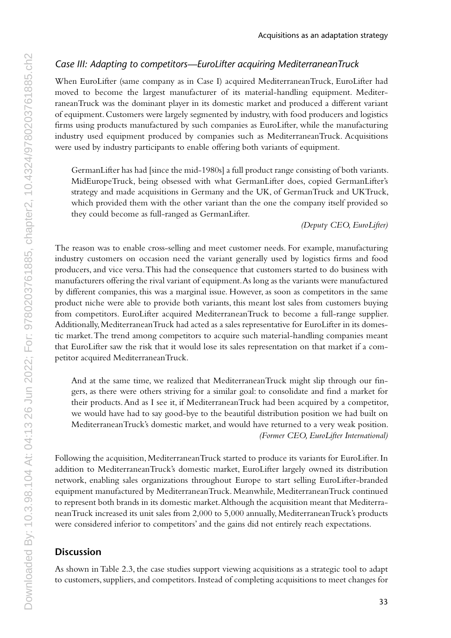# *Case III: Adapting to competitors—EuroLifter acquiring MediterraneanTruck*

When EuroLifter (same company as in Case I) acquired MediterraneanTruck, EuroLifter had moved to become the largest manufacturer of its material-handling equipment. MediterraneanTruck was the dominant player in its domestic market and produced a different variant of equipment. Customers were largely segmented by industry, with food producers and logistics firms using products manufactured by such companies as EuroLifter, while the manufacturing industry used equipment produced by companies such as MediterraneanTruck. Acquisitions were used by industry participants to enable offering both variants of equipment.

GermanLifter has had [since the mid-1980s] a full product range consisting of both variants. MidEuropeTruck, being obsessed with what GermanLifter does, copied GermanLifter's strategy and made acquisitions in Germany and the UK, of GermanTruck and UKTruck, which provided them with the other variant than the one the company itself provided so they could become as full-ranged as GermanLifter.

*(Deputy CEO, EuroLifter)*

The reason was to enable cross-selling and meet customer needs. For example, manufacturing industry customers on occasion need the variant generally used by logistics firms and food producers, and vice versa. This had the consequence that customers started to do business with manufacturers offering the rival variant of equipment. As long as the variants were manufactured by different companies, this was a marginal issue. However, as soon as competitors in the same product niche were able to provide both variants, this meant lost sales from customers buying from competitors. EuroLifter acquired MediterraneanTruck to become a full-range supplier. Additionally, MediterraneanTruck had acted as a sales representative for EuroLifter in its domestic market. The trend among competitors to acquire such material-handling companies meant that EuroLifter saw the risk that it would lose its sales representation on that market if a competitor acquired MediterraneanTruck.

And at the same time, we realized that MediterraneanTruck might slip through our fingers, as there were others striving for a similar goal: to consolidate and find a market for their products. And as I see it, if MediterraneanTruck had been acquired by a competitor, we would have had to say good-bye to the beautiful distribution position we had built on MediterraneanTruck's domestic market, and would have returned to a very weak position. *(Former CEO, EuroLifter International)*

Following the acquisition, MediterraneanTruck started to produce its variants for EuroLifter. In addition to MediterraneanTruck's domestic market, EuroLifter largely owned its distribution network, enabling sales organizations throughout Europe to start selling EuroLifter-branded equipment manufactured by MediterraneanTruck. Meanwhile, MediterraneanTruck continued to represent both brands in its domestic market. Although the acquisition meant that MediterraneanTruck increased its unit sales from 2,000 to 5,000 annually, MediterraneanTruck's products were considered inferior to competitors' and the gains did not entirely reach expectations.

# **Discussion**

As shown in Table 2.3, the case studies support viewing acquisitions as a strategic tool to adapt to customers, suppliers, and competitors. Instead of completing acquisitions to meet changes for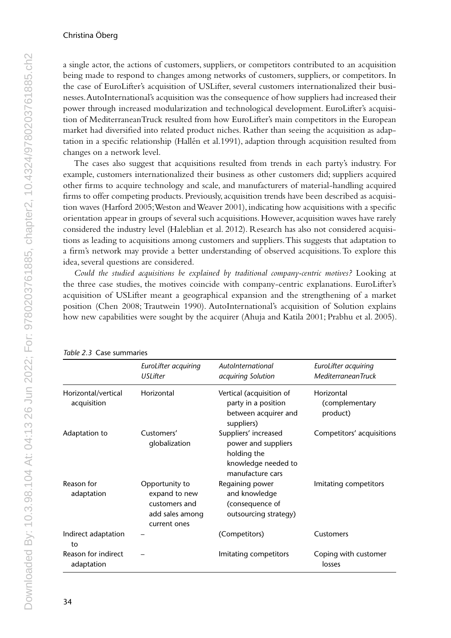a single actor, the actions of customers, suppliers, or competitors contributed to an acquisition being made to respond to changes among networks of customers, suppliers, or competitors. In the case of EuroLifter's acquisition of USLifter, several customers internationalized their businesses. AutoInternational's acquisition was the consequence of how suppliers had increased their power through increased modularization and technological development. EuroLifter's acquisition of MediterraneanTruck resulted from how EuroLifter's main competitors in the European market had diversified into related product niches. Rather than seeing the acquisition as adaptation in a specific relationship (Hallén et al.1991), adaption through acquisition resulted from changes on a network level.

The cases also suggest that acquisitions resulted from trends in each party's industry. For example, customers internationalized their business as other customers did; suppliers acquired other firms to acquire technology and scale, and manufacturers of material-handling acquired firms to offer competing products. Previously, acquisition trends have been described as acquisition waves (Harford 2005; Weston and Weaver 2001), indicating how acquisitions with a specific orientation appear in groups of several such acquisitions. However, acquisition waves have rarely considered the industry level (Haleblian et al. 2012). Research has also not considered acquisitions as leading to acquisitions among customers and suppliers. This suggests that adaptation to a firm's network may provide a better understanding of observed acquisitions. To explore this idea, several questions are considered.

*Could the studied acquisitions be explained by traditional company-centric motives?* Looking at the three case studies, the motives coincide with company-centric explanations. EuroLifter's acquisition of USLifter meant a geographical expansion and the strengthening of a market position (Chen 2008; Trautwein 1990). AutoInternational's acquisition of Solution explains how new capabilities were sought by the acquirer (Ahuja and Katila 2001; Prabhu et al. 2005).

|                                    | EuroLifter acquiring<br><b>USLifter</b>                                             | AutoInternational<br>acquiring Solution                                                               | EuroLifter acquiring<br>MediterraneanTruck |
|------------------------------------|-------------------------------------------------------------------------------------|-------------------------------------------------------------------------------------------------------|--------------------------------------------|
| Horizontal/vertical<br>acquisition | Horizontal                                                                          | Vertical (acquisition of<br>party in a position<br>between acquirer and<br>suppliers)                 | Horizontal<br>(complementary<br>product)   |
| Adaptation to                      | Customers'<br>globalization                                                         | Suppliers' increased<br>power and suppliers<br>holding the<br>knowledge needed to<br>manufacture cars | Competitors' acquisitions                  |
| Reason for<br>adaptation           | Opportunity to<br>expand to new<br>customers and<br>add sales among<br>current ones | Regaining power<br>and knowledge<br>(consequence of<br>outsourcing strategy)                          | Imitating competitors                      |
| Indirect adaptation<br>to          |                                                                                     | (Competitors)                                                                                         | Customers                                  |
| Reason for indirect<br>adaptation  |                                                                                     | Imitating competitors                                                                                 | Coping with customer<br>losses             |

|  |  | Table 2.3 Case summaries |
|--|--|--------------------------|
|--|--|--------------------------|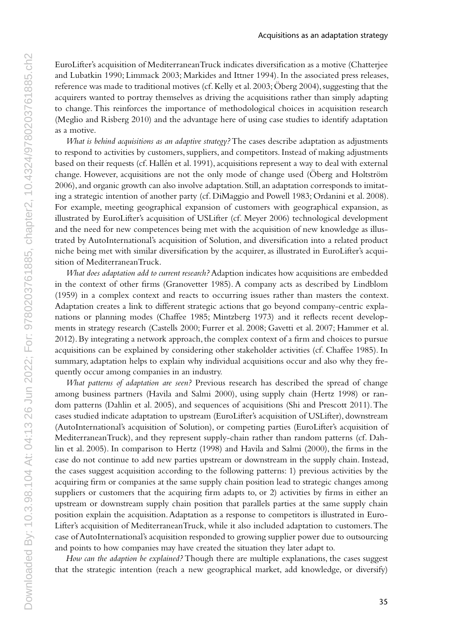EuroLifter's acquisition of MediterraneanTruck indicates diversification as a motive (Chatterjee and Lubatkin 1990; Limmack 2003; Markides and Ittner 1994). In the associated press releases, reference was made to traditional motives (cf. Kelly et al. 2003; Öberg 2004), suggesting that the acquirers wanted to portray themselves as driving the acquisitions rather than simply adapting to change. This reinforces the importance of methodological choices in acquisition research (Meglio and Risberg 2010) and the advantage here of using case studies to identify adaptation as a motive.

*What is behind acquisitions as an adaptive strategy?* The cases describe adaptation as adjustments to respond to activities by customers, suppliers, and competitors. Instead of making adjustments based on their requests (cf. Hallén et al. 1991), acquisitions represent a way to deal with external change. However, acquisitions are not the only mode of change used (Öberg and Holtström 2006), and organic growth can also involve adaptation. Still, an adaptation corresponds to imitating a strategic intention of another party (cf. DiMaggio and Powell 1983; Ordanini et al. 2008). For example, meeting geographical expansion of customers with geographical expansion, as illustrated by EuroLifter's acquisition of USLifter (cf. Meyer 2006) technological development and the need for new competences being met with the acquisition of new knowledge as illustrated by AutoInternational's acquisition of Solution, and diversification into a related product niche being met with similar diversification by the acquirer, as illustrated in EuroLifter's acquisition of MediterraneanTruck.

*What does adaptation add to current research?* Adaption indicates how acquisitions are embedded in the context of other firms (Granovetter 1985). A company acts as described by Lindblom (1959) in a complex context and reacts to occurring issues rather than masters the context. Adaptation creates a link to different strategic actions that go beyond company-centric explanations or planning modes (Chaffee 1985; Mintzberg 1973) and it reflects recent developments in strategy research (Castells 2000; Furrer et al. 2008; Gavetti et al. 2007; Hammer et al. 2012). By integrating a network approach, the complex context of a firm and choices to pursue acquisitions can be explained by considering other stakeholder activities (cf. Chaffee 1985). In summary, adaptation helps to explain why individual acquisitions occur and also why they frequently occur among companies in an industry.

*What patterns of adaptation are seen?* Previous research has described the spread of change among business partners (Havila and Salmi 2000), using supply chain (Hertz 1998) or random patterns (Dahlin et al. 2005), and sequences of acquisitions (Shi and Prescott 2011). The cases studied indicate adaptation to upstream (EuroLifter's acquisition of USLifter), downstream (AutoInternational's acquisition of Solution), or competing parties (EuroLifter's acquisition of MediterraneanTruck), and they represent supply-chain rather than random patterns (cf. Dahlin et al. 2005). In comparison to Hertz (1998) and Havila and Salmi (2000), the firms in the case do not continue to add new parties upstream or downstream in the supply chain. Instead, the cases suggest acquisition according to the following patterns: 1) previous activities by the acquiring firm or companies at the same supply chain position lead to strategic changes among suppliers or customers that the acquiring firm adapts to, or 2) activities by firms in either an upstream or downstream supply chain position that parallels parties at the same supply chain position explain the acquisition. Adaptation as a response to competitors is illustrated in Euro-Lifter's acquisition of MediterraneanTruck, while it also included adaptation to customers. The case of AutoInternational's acquisition responded to growing supplier power due to outsourcing and points to how companies may have created the situation they later adapt to.

*How can the adaption be explained?* Though there are multiple explanations, the cases suggest that the strategic intention (reach a new geographical market, add knowledge, or diversify)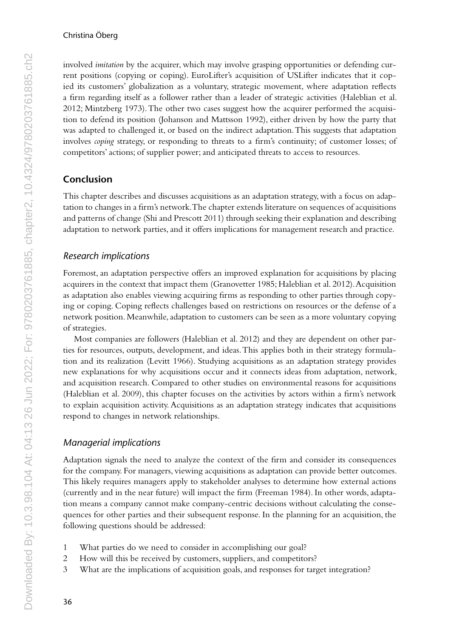involved *imitation* by the acquirer, which may involve grasping opportunities or defending current positions (copying or coping). EuroLifter's acquisition of USLifter indicates that it copied its customers' globalization as a voluntary, strategic movement, where adaptation reflects a firm regarding itself as a follower rather than a leader of strategic activities (Haleblian et al. 2012; Mintzberg 1973). The other two cases suggest how the acquirer performed the acquisition to defend its position (Johanson and Mattsson 1992), either driven by how the party that was adapted to challenged it, or based on the indirect adaptation. This suggests that adaptation involves *coping* strategy, or responding to threats to a firm's continuity; of customer losses; of competitors' actions; of supplier power; and anticipated threats to access to resources.

# **Conclusion**

This chapter describes and discusses acquisitions as an adaptation strategy, with a focus on adaptation to changes in a firm's network. The chapter extends literature on sequences of acquisitions and patterns of change (Shi and Prescott 2011) through seeking their explanation and describing adaptation to network parties, and it offers implications for management research and practice.

# *Research implications*

Foremost, an adaptation perspective offers an improved explanation for acquisitions by placing acquirers in the context that impact them (Granovetter 1985; Haleblian et al. 2012). Acquisition as adaptation also enables viewing acquiring firms as responding to other parties through copying or coping. Coping reflects challenges based on restrictions on resources or the defense of a network position. Meanwhile, adaptation to customers can be seen as a more voluntary copying of strategies.

Most companies are followers (Haleblian et al. 2012) and they are dependent on other parties for resources, outputs, development, and ideas. This applies both in their strategy formulation and its realization (Levitt 1966). Studying acquisitions as an adaptation strategy provides new explanations for why acquisitions occur and it connects ideas from adaptation, network, and acquisition research. Compared to other studies on environmental reasons for acquisitions (Haleblian et al. 2009), this chapter focuses on the activities by actors within a firm's network to explain acquisition activity. Acquisitions as an adaptation strategy indicates that acquisitions respond to changes in network relationships.

# *Managerial implications*

Adaptation signals the need to analyze the context of the firm and consider its consequences for the company. For managers, viewing acquisitions as adaptation can provide better outcomes. This likely requires managers apply to stakeholder analyses to determine how external actions (currently and in the near future) will impact the firm (Freeman 1984). In other words, adaptation means a company cannot make company-centric decisions without calculating the consequences for other parties and their subsequent response. In the planning for an acquisition, the following questions should be addressed:

- 1 What parties do we need to consider in accomplishing our goal?
- 2 How will this be received by customers, suppliers, and competitors?
- 3 What are the implications of acquisition goals, and responses for target integration?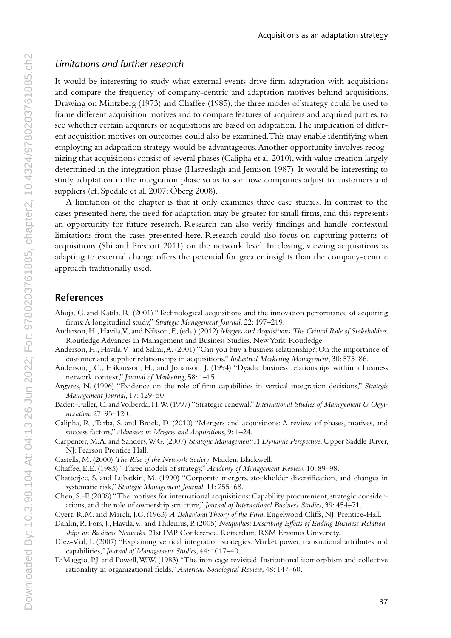## *Limitations and further research*

It would be interesting to study what external events drive firm adaptation with acquisitions and compare the frequency of company-centric and adaptation motives behind acquisitions. Drawing on Mintzberg (1973) and Chaffee (1985), the three modes of strategy could be used to frame different acquisition motives and to compare features of acquirers and acquired parties, to see whether certain acquirers or acquisitions are based on adaptation. The implication of different acquisition motives on outcomes could also be examined. This may enable identifying when employing an adaptation strategy would be advantageous. Another opportunity involves recognizing that acquisitions consist of several phases (Calipha et al. 2010), with value creation largely determined in the integration phase (Haspeslagh and Jemison 1987). It would be interesting to study adaptation in the integration phase so as to see how companies adjust to customers and suppliers (cf. Spedale et al. 2007; Öberg 2008).

A limitation of the chapter is that it only examines three case studies. In contrast to the cases presented here, the need for adaptation may be greater for small firms, and this represents an opportunity for future research. Research can also verify findings and handle contextual limitations from the cases presented here. Research could also focus on capturing patterns of acquisitions (Shi and Prescott 2011) on the network level. In closing, viewing acquisitions as adapting to external change offers the potential for greater insights than the company-centric approach traditionally used.

# **References**

- Ahuja, G. and Katila, R. (2001) "Technological acquisitions and the innovation performance of acquiring firms: A longitudinal study," *Strategic Management Journal*, 22: 197–219.
- Anderson, H., Havila, V., and Nilsson, F., (eds.) (2012) *Mergers and Acquisitions: The Critical Role of Stakeholders*. Routledge Advances in Management and Business Studies. New York: Routledge.
- Anderson, H., Havila, V., and Salmi, A. (2001) "Can you buy a business relationship?: On the importance of customer and supplier relationships in acquisitions," *Industrial Marketing Management*, 30: 575–86.
- Anderson, J.C., Håkansson, H., and Johanson, J. (1994) "Dyadic business relationships within a business network context," *Journal of Marketing*, 58: 1–15.
- Argyres, N. (1996) "Evidence on the role of firm capabilities in vertical integration decisions," *Strategic Management Journal*, 17: 129–50.
- Baden-Fuller, C. and Volberda, H.W. (1997) "Strategic renewal," *International Studies of Management & Organization*, 27: 95–120.
- Calipha, R., Tarba, S. and Brock, D. (2010) "Mergers and acquisitions: A review of phases, motives, and success factors," *Advances in Mergers and Acquisitions*, 9: 1–24.
- Carpenter, M.A. and Sanders, W.G. (2007) *Strategic Management: A Dynamic Perspective*. Upper Saddle River, NJ: Pearson Prentice Hall.
- Castells, M. (2000) *The Rise of the Network Society*. Malden: Blackwell.
- Chaffee, E.E. (1985) "Three models of strategy," *Academy of Management Review*, 10: 89–98.
- Chatterjee, S. and Lubatkin, M. (1990) "Corporate mergers, stockholder diversification, and changes in systematic risk," *Strategic Management Journal*, 11: 255–68.
- Chen, S.-F. (2008) "The motives for international acquisitions: Capability procurement, strategic considerations, and the role of ownership structure," *Journal of International Business Studies*, 39: 454–71.
- Cyert, R.M. and March, J.G. (1963) *A Behavioral Theory of the Firm*. Engelwood Cliffs, NJ: Prentice-Hall.
- Dahlin, P., Fors, J., Havila, V., and Thilenius, P. (2005) *Netquakes: Describing Effects of Ending Business Relationships on Business Networks*. 21st IMP Conference, Rotterdam, RSM Erasmus University.
- Díez-Vial, I. (2007) "Explaining vertical integration strategies: Market power, transactional attributes and capabilities," *Journal of Management Studies*, 44: 1017–40.
- DiMaggio, P.J. and Powell, W.W. (1983) "The iron cage revisited: Institutional isomorphism and collective rationality in organizational fields," *American Sociological Review*, 48: 147–60.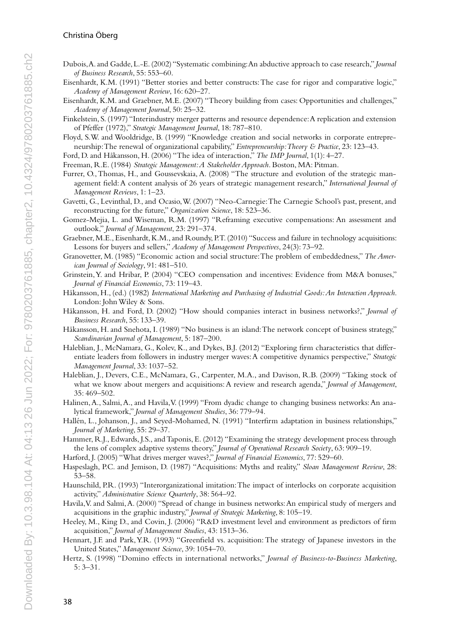- Dubois, A. and Gadde, L.-E. (2002) "Systematic combining: An abductive approach to case research," *Journal of Business Research*, 55: 553–60.
- Eisenhardt, K.M. (1991) "Better stories and better constructs: The case for rigor and comparative logic," *Academy of Management Review*, 16: 620–27.
- Eisenhardt, K.M. and Graebner, M.E. (2007) "Theory building from cases: Opportunities and challenges," *Academy of Management Journal*, 50: 25–32.
- Finkelstein, S. (1997) "Interindustry merger patterns and resource dependence: A replication and extension of Pfeffer (1972)," *Strategic Management Journal*, 18: 787–810.
- Floyd, S.W. and Wooldridge, B. (1999) "Knowledge creation and social networks in corporate entrepreneurship: The renewal of organizational capability," *Entrepreneurship: Theory & Practice*, 23: 123–43.
- Ford, D. and Håkansson, H. (2006) "The idea of interaction," *The IMP Journal*, 1(1): 4–27.
- Freeman, R.E. (1984) *Strategic Management: A Stakeholder Approach*. Boston, MA: Pitman.
- Furrer, O., Thomas, H., and Goussevskaia, A. (2008) "The structure and evolution of the strategic management field: A content analysis of 26 years of strategic management research," *International Journal of Management Reviews*, 1: 1–23.
- Gavetti, G., Levinthal, D., and Ocasio, W. (2007) "Neo-Carnegie: The Carnegie School's past, present, and reconstructing for the future," *Organization Science*, 18: 523–36.
- Gomez-Mejia, L. and Wiseman, R.M. (1997) "Reframing executive compensations: An assessment and outlook," *Journal of Management*, 23: 291–374.
- Graebner, M.E., Eisenhardt, K.M., and Roundy, P.T. (2010) "Success and failure in technology acquisitions: Lessons for buyers and sellers," *Academy of Management Perspectives*, 24(3): 73–92.
- Granovetter, M. (1985) "Economic action and social structure: The problem of embeddedness," *The American Journal of Sociology*, 91: 481–510.
- Grinstein, Y. and Hribar, P. (2004) "CEO compensation and incentives: Evidence from M&A bonuses," *Journal of Financial Economics*, 73: 119–43.
- Håkansson, H., (ed.) (1982) *International Marketing and Purchasing of Industrial Goods: An Interaction Approach*. London: John Wiley & Sons.
- Håkansson, H. and Ford, D. (2002) "How should companies interact in business networks?," *Journal of Business Research*, 55: 133–39.
- Håkansson, H. and Snehota, I. (1989) "No business is an island: The network concept of business strategy," *Scandinavian Journal of Management*, 5: 187–200.
- Haleblian, J., McNamara, G., Kolev, K., and Dykes, B.J. (2012) "Exploring firm characteristics that differentiate leaders from followers in industry merger waves: A competitive dynamics perspective," *Strategic Management Journal*, 33: 1037–52.
- Haleblian, J., Devers, C.E., McNamara, G., Carpenter, M.A., and Davison, R.B. (2009) "Taking stock of what we know about mergers and acquisitions: A review and research agenda," *Journal of Management*, 35: 469–502.
- Halinen, A., Salmi, A., and Havila, V. (1999) "From dyadic change to changing business networks: An analytical framework," *Journal of Management Studies*, 36: 779–94.
- Hallén, L., Johanson, J., and Seyed-Mohamed, N. (1991) "Interfirm adaptation in business relationships," *Journal of Marketing*, 55: 29–37.
- Hammer, R.J., Edwards, J.S., and Taponis, E. (2012) "Examining the strategy development process through the lens of complex adaptive systems theory," *Journal of Operational Research Society*, 63: 909–19.
- Harford, J. (2005) "What drives merger waves?," *Journal of Financial Economics*, 77: 529–60.
- Haspeslagh, P.C. and Jemison, D. (1987) "Acquisitions: Myths and reality," *Sloan Management Review*, 28: 53–58.
- Haunschild, P.R. (1993) "Interorganizational imitation: The impact of interlocks on corporate acquisition activity," *Administrative Science Quarterly*, 38: 564–92.
- Havila, V. and Salmi, A. (2000) "Spread of change in business networks: An empirical study of mergers and acquisitions in the graphic industry," *Journal of Strategic Marketing*, 8: 105–19.
- Heeley, M., King D., and Covin, J. (2006) "R&D investment level and environment as predictors of firm acquisition," *Journal of Management Studies*, 43: 1513–36.
- Hennart, J.F. and Park, Y.R. (1993) "Greenfield vs. acquisition: The strategy of Japanese investors in the United States," *Management Science*, 39: 1054–70.
- Hertz, S. (1998) "Domino effects in international networks," *Journal of Business-to-Business Marketing*, 5: 3–31.